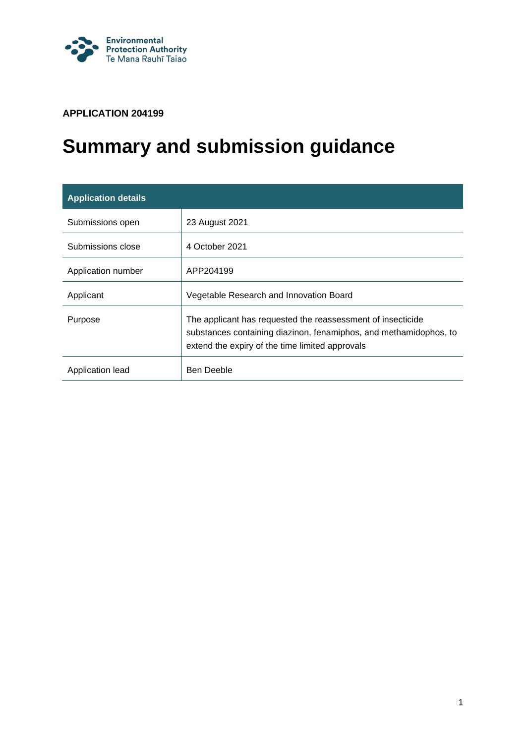

**APPLICATION 204199**

# **Summary and submission guidance**

| <b>Application details</b> |                                                                                                                                                                                     |
|----------------------------|-------------------------------------------------------------------------------------------------------------------------------------------------------------------------------------|
| Submissions open           | 23 August 2021                                                                                                                                                                      |
| Submissions close          | 4 October 2021                                                                                                                                                                      |
| Application number         | APP204199                                                                                                                                                                           |
| Applicant                  | Vegetable Research and Innovation Board                                                                                                                                             |
| Purpose                    | The applicant has requested the reassessment of insecticide<br>substances containing diazinon, fenamiphos, and methamidophos, to<br>extend the expiry of the time limited approvals |
| Application lead           | <b>Ben Deeble</b>                                                                                                                                                                   |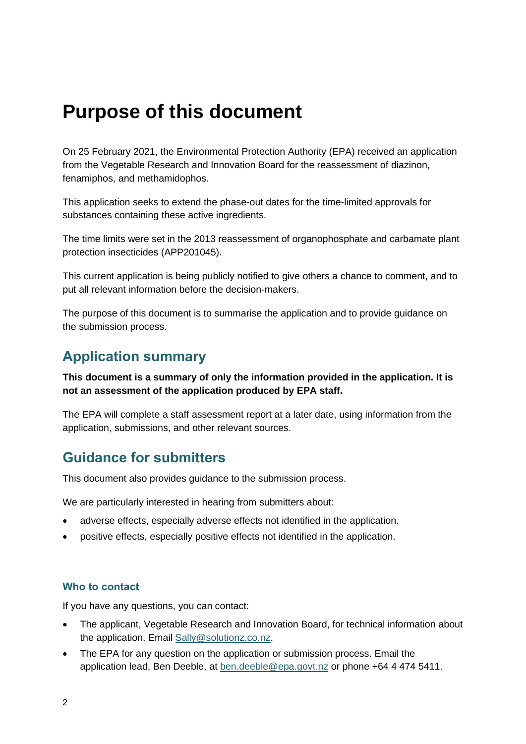## **Purpose of this document**

On 25 February 2021, the Environmental Protection Authority (EPA) received an application from the Vegetable Research and Innovation Board for the reassessment of diazinon, fenamiphos, and methamidophos.

This application seeks to extend the phase-out dates for the time-limited approvals for substances containing these active ingredients.

The time limits were set in the 2013 reassessment of organophosphate and carbamate plant protection insecticides (APP201045).

This current application is being publicly notified to give others a chance to comment, and to put all relevant information before the decision-makers.

The purpose of this document is to summarise the application and to provide guidance on the submission process.

## **Application summary**

**This document is a summary of only the information provided in the application. It is not an assessment of the application produced by EPA staff.** 

The EPA will complete a staff assessment report at a later date, using information from the application, submissions, and other relevant sources.

## **Guidance for submitters**

This document also provides guidance to the submission process.

We are particularly interested in hearing from submitters about:

- adverse effects, especially adverse effects not identified in the application.
- positive effects, especially positive effects not identified in the application.

#### **Who to contact**

If you have any questions, you can contact:

- The applicant, Vegetable Research and Innovation Board, for technical information about the application. Email [Sally@solutionz.co.nz.](mailto:Sally@solutionz.co.nz)
- The EPA for any question on the application or submission process. Email the application lead, Ben Deeble, at [ben.deeble@epa.govt.nz](mailto:ben.deeble@epa.govt.nz) or phone +64 4 474 5411.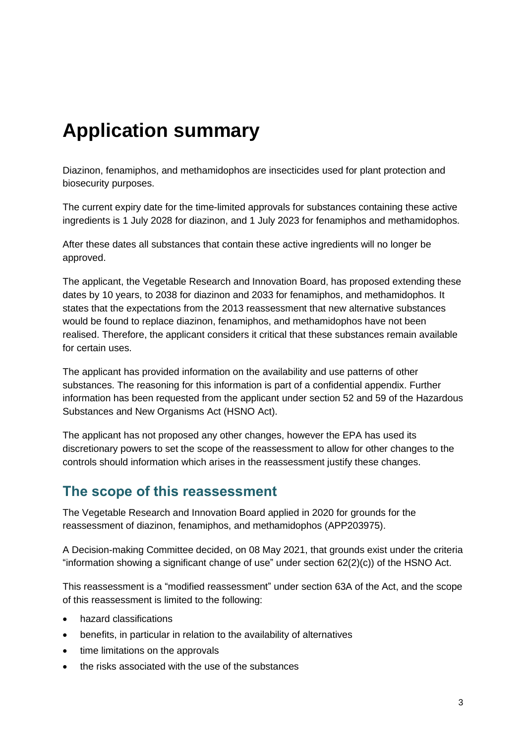# **Application summary**

Diazinon, fenamiphos, and methamidophos are insecticides used for plant protection and biosecurity purposes.

The current expiry date for the time-limited approvals for substances containing these active ingredients is 1 July 2028 for diazinon, and 1 July 2023 for fenamiphos and methamidophos.

After these dates all substances that contain these active ingredients will no longer be approved.

The applicant, the Vegetable Research and Innovation Board, has proposed extending these dates by 10 years, to 2038 for diazinon and 2033 for fenamiphos, and methamidophos. It states that the expectations from the 2013 reassessment that new alternative substances would be found to replace diazinon, fenamiphos, and methamidophos have not been realised. Therefore, the applicant considers it critical that these substances remain available for certain uses.

The applicant has provided information on the availability and use patterns of other substances. The reasoning for this information is part of a confidential appendix. Further information has been requested from the applicant under section 52 and 59 of the Hazardous Substances and New Organisms Act (HSNO Act).

The applicant has not proposed any other changes, however the EPA has used its discretionary powers to set the scope of the reassessment to allow for other changes to the controls should information which arises in the reassessment justify these changes.

## **The scope of this reassessment**

The Vegetable Research and Innovation Board applied in 2020 for grounds for the reassessment of diazinon, fenamiphos, and methamidophos (APP203975).

A Decision-making Committee decided, on 08 May 2021, that grounds exist under the criteria "information showing a significant change of use" under section 62(2)(c)) of the HSNO Act.

This reassessment is a "modified reassessment" under section 63A of the Act, and the scope of this reassessment is limited to the following:

- hazard classifications
- benefits, in particular in relation to the availability of alternatives
- time limitations on the approvals
- the risks associated with the use of the substances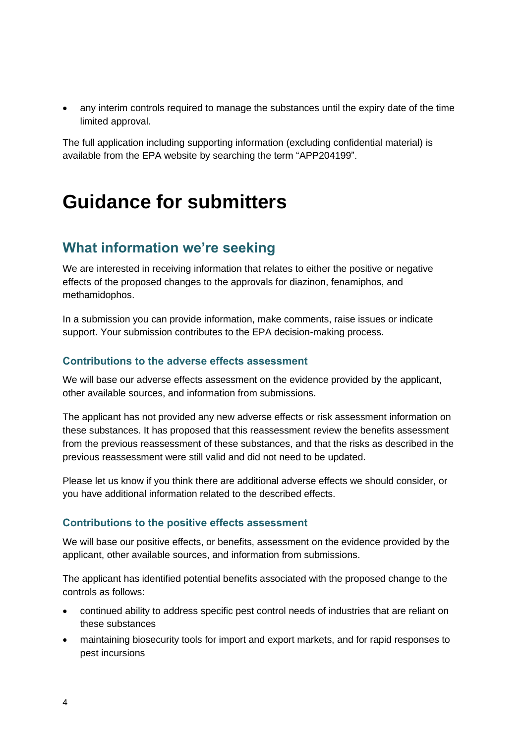• any interim controls required to manage the substances until the expiry date of the time limited approval.

The full application including supporting information (excluding confidential material) is available from the EPA website by searching the term "APP204199".

## **Guidance for submitters**

## **What information we're seeking**

We are interested in receiving information that relates to either the positive or negative effects of the proposed changes to the approvals for diazinon, fenamiphos, and methamidophos.

In a submission you can provide information, make comments, raise issues or indicate support. Your submission contributes to the EPA decision-making process.

#### **Contributions to the adverse effects assessment**

We will base our adverse effects assessment on the evidence provided by the applicant, other available sources, and information from submissions.

The applicant has not provided any new adverse effects or risk assessment information on these substances. It has proposed that this reassessment review the benefits assessment from the previous reassessment of these substances, and that the risks as described in the previous reassessment were still valid and did not need to be updated.

Please let us know if you think there are additional adverse effects we should consider, or you have additional information related to the described effects.

#### **Contributions to the positive effects assessment**

We will base our positive effects, or benefits, assessment on the evidence provided by the applicant, other available sources, and information from submissions.

The applicant has identified potential benefits associated with the proposed change to the controls as follows:

- continued ability to address specific pest control needs of industries that are reliant on these substances
- maintaining biosecurity tools for import and export markets, and for rapid responses to pest incursions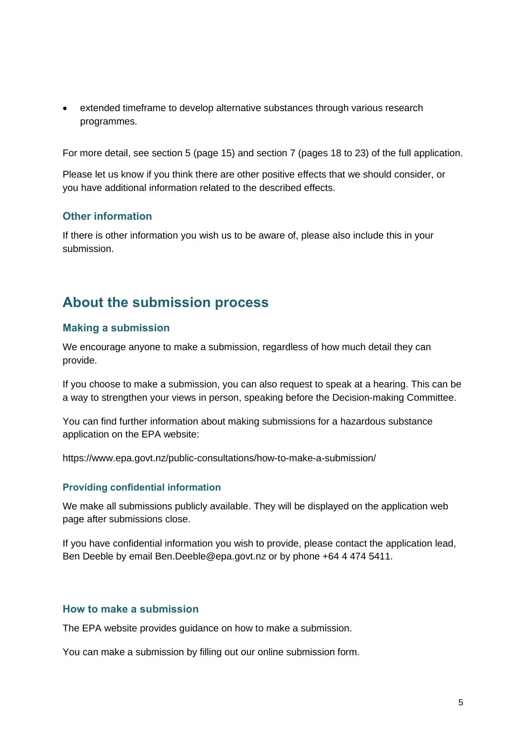• extended timeframe to develop alternative substances through various research programmes.

For more detail, see section 5 (page 15) and section 7 (pages 18 to 23) of the full application.

Please let us know if you think there are other positive effects that we should consider, or you have additional information related to the described effects.

#### **Other information**

If there is other information you wish us to be aware of, please also include this in your submission.

## **About the submission process**

#### **Making a submission**

We encourage anyone to make a submission, regardless of how much detail they can provide.

If you choose to make a submission, you can also request to speak at a hearing. This can be a way to strengthen your views in person, speaking before the Decision-making Committee.

You can find further information about making submissions for a hazardous substance application on the EPA website:

https://www.epa.govt.nz/public-consultations/how-to-make-a-submission/

#### **Providing confidential information**

We make all submissions publicly available. They will be displayed on the application web page after submissions close.

If you have confidential information you wish to provide, please contact the application lead, Ben Deeble by email Ben.Deeble@epa.govt.nz or by phone +64 4 474 5411.

#### **How to make a submission**

The EPA website provides guidance on how to make a submission.

You can make a submission by filling out our online submission form.